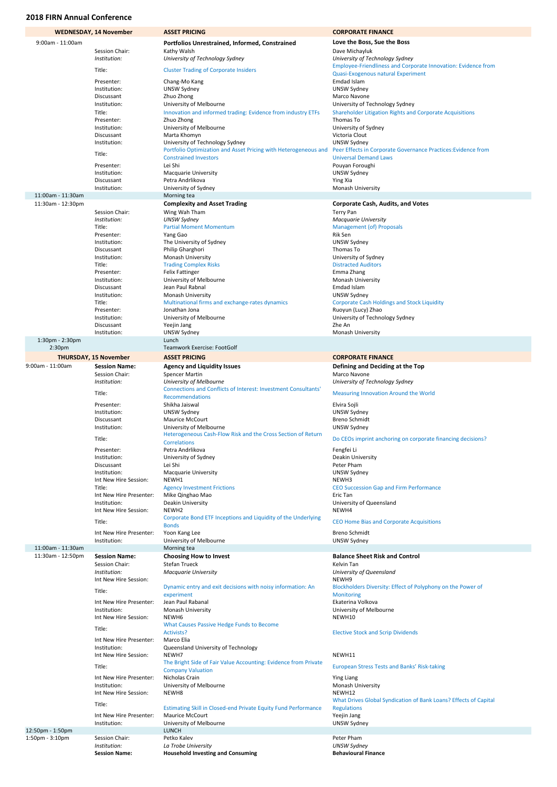|                       | <b>WEDNESDAY, 14 November</b>         | <b>ASSET PRICING</b>                                                                               | <b>CORPORATE FINANCE</b>                                                            |
|-----------------------|---------------------------------------|----------------------------------------------------------------------------------------------------|-------------------------------------------------------------------------------------|
| $9:00$ am - 11:00am   |                                       | Portfolios Unrestrained, Informed, Constrained                                                     | Love the Boss, Sue the Boss                                                         |
|                       | Session Chair:                        | Kathy Walsh                                                                                        | Dave Michayluk                                                                      |
|                       | Institution:                          | University of Technology Sydney                                                                    | University of Technology Sydney                                                     |
|                       | Title:                                | <b>Cluster Trading of Corporate Insiders</b>                                                       | Employee-Friendliness and Corporate Innovation: Evidence from                       |
|                       |                                       |                                                                                                    | Quasi-Exogenous natural Experiment                                                  |
|                       | Presenter:<br>Institution:            | Chang-Mo Kang<br><b>UNSW Sydney</b>                                                                | Emdad Islam<br><b>UNSW Sydney</b>                                                   |
|                       | Discussant                            | Zhuo Zhong                                                                                         | Marco Navone                                                                        |
|                       | Institution:                          | University of Melbourne                                                                            | University of Technology Sydney                                                     |
|                       | Title:                                | Innovation and informed trading: Evidence from industry ETFs                                       | Shareholder Litigation Rights and Corporate Acquisitions                            |
|                       | Presenter:                            | Zhuo Zhong                                                                                         | Thomas To                                                                           |
|                       | Institution:                          | University of Melbourne                                                                            | University of Sydney                                                                |
|                       | Discussant                            | Marta Khomyn                                                                                       | Victoria Clout                                                                      |
|                       | Institution:                          | University of Technology Sydney<br>Portfolio Optimization and Asset Pricing with Heterogeneous and | <b>UNSW Sydney</b><br>Peer Effects in Corporate Governance Practices: Evidence from |
|                       | Title:                                | <b>Constrained Investors</b>                                                                       | <b>Universal Demand Laws</b>                                                        |
|                       | Presenter:                            | Lei Shi                                                                                            | Pouyan Foroughi                                                                     |
|                       | Institution:                          | <b>Macquarie University</b>                                                                        | UNSW Sydney                                                                         |
|                       | Discussant                            | Petra Andrlikova                                                                                   | Ying Xia                                                                            |
|                       | Institution:                          | University of Sydney                                                                               | Monash University                                                                   |
| 11:00am - 11:30am     |                                       | Morning tea                                                                                        |                                                                                     |
| 11:30am - 12:30pm     | Session Chair:                        | <b>Complexity and Asset Trading</b>                                                                | <b>Corporate Cash, Audits, and Votes</b>                                            |
|                       | Institution:                          | Wing Wah Tham<br><b>UNSW Sydney</b>                                                                | <b>Terry Pan</b><br><b>Macquarie University</b>                                     |
|                       | Title:                                | <b>Partial Moment Momentum</b>                                                                     | <b>Management (of) Proposals</b>                                                    |
|                       | Presenter:                            | Yang Gao                                                                                           | Rik Sen                                                                             |
|                       | Institution:                          | The University of Sydney                                                                           | UNSW Sydney                                                                         |
|                       | Discussant                            | Philip Gharghori                                                                                   | Thomas To                                                                           |
|                       | Institution:                          | Monash University                                                                                  | University of Sydney                                                                |
|                       | Title:<br>Presenter:                  | <b>Trading Complex Risks</b>                                                                       | <b>Distracted Auditors</b><br>Emma Zhang                                            |
|                       | Institution:                          | <b>Felix Fattinger</b><br>University of Melbourne                                                  | Monash University                                                                   |
|                       | Discussant                            | Jean Paul Rabnal                                                                                   | Emdad Islam                                                                         |
|                       | Institution:                          | Monash University                                                                                  | UNSW Sydney                                                                         |
|                       | Title:                                | Multinational firms and exchange-rates dynamics                                                    | <b>Corporate Cash Holdings and Stock Liquidity</b>                                  |
|                       | Presenter:                            | Jonathan Jona                                                                                      | Ruoyun (Lucy) Zhao                                                                  |
|                       | Institution:                          | University of Melbourne                                                                            | University of Technology Sydney                                                     |
|                       | Discussant<br>Institution:            | Yeejin Jang<br>UNSW Sydney                                                                         | Zhe An<br><b>Monash University</b>                                                  |
| 1:30pm - 2:30pm       |                                       | Lunch                                                                                              |                                                                                     |
| 2:30pm                |                                       | Teamwork Exercise: FootGolf                                                                        |                                                                                     |
|                       | <b>THURSDAY, 15 November</b>          | <b>ASSET PRICING</b>                                                                               | <b>CORPORATE FINANCE</b>                                                            |
| 9:00am - 11:00am      | <b>Session Name:</b>                  | <b>Agency and Liquidity Issues</b>                                                                 | Defining and Deciding at the Top                                                    |
|                       | Session Chair:                        | <b>Spencer Martin</b>                                                                              | Marco Navone                                                                        |
|                       | Institution:                          | University of Melbourne                                                                            | University of Technology Sydney                                                     |
|                       | Title:                                | <b>Connections and Conflicts of Interest: Investment Consultants'</b>                              | <b>Measuring Innovation Around the World</b>                                        |
|                       |                                       | <b>Recommendations</b>                                                                             |                                                                                     |
|                       | Presenter:                            | Shikha Jaiswal                                                                                     | Elvira Sojli                                                                        |
|                       | Institution:<br>Discussant            | UNSW Sydney<br><b>Maurice McCourt</b>                                                              | UNSW Sydney<br><b>Breno Schmidt</b>                                                 |
|                       | Institution:                          | University of Melbourne                                                                            | <b>UNSW Sydney</b>                                                                  |
|                       |                                       | Heterogeneous Cash-Flow Risk and the Cross Section of Return                                       |                                                                                     |
|                       | Title:                                | <b>Correlations</b>                                                                                | Do CEOs imprint anchoring on corporate financing decisions?                         |
|                       | Presenter:                            | Petra Andrlikova                                                                                   | Fengfei Li                                                                          |
|                       | Institution:<br>Discussant            | University of Sydney<br>Lei Shi                                                                    | Deakin University<br>Peter Pham                                                     |
|                       | Institution:                          | <b>Macquarie University</b>                                                                        | UNSW Sydney                                                                         |
|                       | Int New Hire Session:                 | NEWH1                                                                                              | NEWH3                                                                               |
|                       | Title:                                | <b>Agency Investment Frictions</b>                                                                 | <b>CEO Succession Gap and Firm Performance</b>                                      |
|                       | Int New Hire Presenter:               | Mike Qinghao Mao                                                                                   | Eric Tan                                                                            |
|                       | Institution:                          | Deakin University                                                                                  | University of Queensland                                                            |
|                       | Int New Hire Session:                 | NEWH <sub>2</sub>                                                                                  | NEWH4                                                                               |
|                       | Title:                                | Corporate Bond ETF Inceptions and Liquidity of the Underlying<br><b>Bonds</b>                      | <b>CEO Home Bias and Corporate Acquisitions</b>                                     |
|                       | Int New Hire Presenter:               | Yoon Kang Lee                                                                                      | <b>Breno Schmidt</b>                                                                |
|                       | Institution:                          | University of Melbourne                                                                            | <b>UNSW Sydney</b>                                                                  |
| 11:00am - 11:30am     |                                       | Morning tea                                                                                        |                                                                                     |
| 11:30am - 12:50pm     | <b>Session Name:</b>                  | <b>Choosing How to Invest</b>                                                                      | <b>Balance Sheet Risk and Control</b>                                               |
|                       | Session Chair:                        | <b>Stefan Trueck</b>                                                                               | Kelvin Tan                                                                          |
|                       | Institution:                          | <b>Macquarie University</b>                                                                        | University of Queensland                                                            |
|                       | Int New Hire Session:                 | Dynamic entry and exit decisions with noisy information: An                                        | NEWH9<br>Blockholders Diversity: Effect of Polyphony on the Power of                |
|                       | Title:                                | experiment                                                                                         | Monitoring                                                                          |
|                       | Int New Hire Presenter:               | Jean Paul Rabanal                                                                                  | Ekaterina Volkova                                                                   |
|                       | Institution:                          | Monash University                                                                                  | University of Melbourne                                                             |
|                       | Int New Hire Session:                 | NEWH6                                                                                              | NEWH10                                                                              |
|                       | Title:                                | <b>What Causes Passive Hedge Funds to Become</b>                                                   |                                                                                     |
|                       | Int New Hire Presenter:               | Activists?<br>Marco Elia                                                                           | <b>Elective Stock and Scrip Dividends</b>                                           |
|                       | Institution:                          | Queensland University of Technology                                                                |                                                                                     |
|                       | Int New Hire Session:                 | NEWH7                                                                                              | NEWH11                                                                              |
|                       |                                       | The Bright Side of Fair Value Accounting: Evidence from Private                                    |                                                                                     |
|                       | Title:                                | <b>Company Valuation</b>                                                                           | <b>European Stress Tests and Banks' Risk-taking</b>                                 |
|                       | Int New Hire Presenter:               | Nicholas Crain                                                                                     | <b>Ying Liang</b>                                                                   |
|                       | Institution:<br>Int New Hire Session: | University of Melbourne<br>NEWH8                                                                   | Monash University<br>NEWH12                                                         |
|                       |                                       |                                                                                                    | What Drives Global Syndication of Bank Loans? Effects of Capital                    |
|                       | Title:                                | <b>Estimating Skill in Closed-end Private Equity Fund Performance</b>                              | <b>Regulations</b>                                                                  |
|                       | Int New Hire Presenter:               | <b>Maurice McCourt</b>                                                                             | Yeejin Jang                                                                         |
|                       | Institution:                          | University of Melbourne                                                                            | <b>UNSW Sydney</b>                                                                  |
| 12:50pm - 1:50pm      |                                       | <b>LUNCH</b>                                                                                       |                                                                                     |
| $1:50$ pm - $3:10$ pm | Session Chair:                        | Petko Kalev                                                                                        | Peter Pham                                                                          |
|                       | Institution:<br><b>Session Name:</b>  | La Trobe University<br><b>Household Investing and Consuming</b>                                    | <b>UNSW Sydney</b><br><b>Behavioural Finance</b>                                    |

## 2018 FIRN Annual Conference